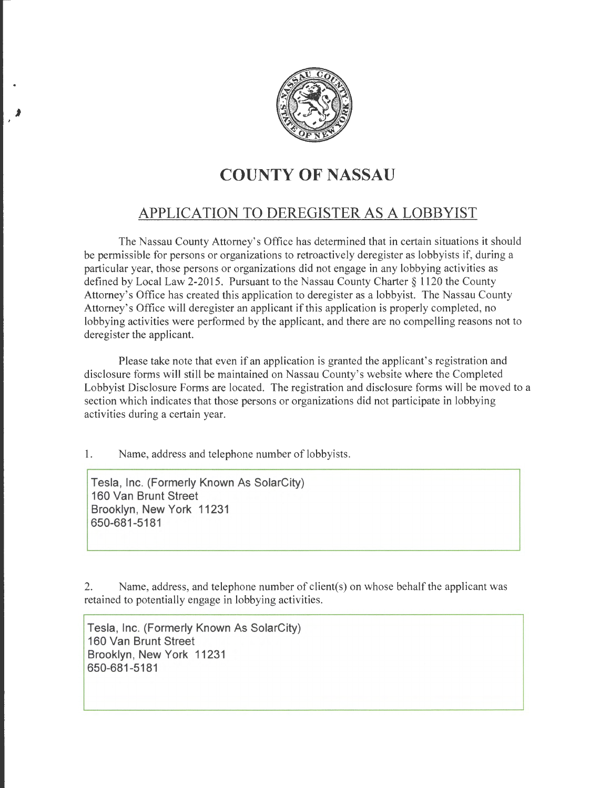

## **COUNTY OF NASSAU**

## **APPLICATION TO DEREGISTER AS A LOBBYIST**

The Nassau County Attorney's Office has determined that in certain situations it should be permissible for persons or organizations to retroactively deregister as lobbyists if, during a particular year, those persons or organizations did not engage in any lobbying activities as defined by Local Law 2-2015. Pursuant to the Nassau County Charter§ 1120 the County Attorney's Office has created this application to deregister as a lobbyist. The Nassau County Attorney's Office will deregister an applicant if this application is properly completed, no lobbying activities were performed by the applicant, and there are no compelling reasons not to deregister the applicant.

Please take note that even if an application is granted the applicant's registration and disclosure forms will still be maintained on Nassau County's website where the Completed Lobbyist Disclosure Forms are located. The registration and disclosure forms will be moved to a section which indicates that those persons or organizations did not participate in lobbying activities during a certain year.

1. Name, address and telephone number of lobbyists.

**Tesla, Inc. (Formerly Known As SolarCity) 160 Van Brunt Street Brooklyn, New York 11231 650-681-5181** 

2. Name, address, and telephone number of client(s) on whose behalf the applicant was retained to potentially engage in lobbying activities.

**Tesla, Inc. (Formerly Known As SolarCity) 160 Van Brunt Street Brooklyn, New York 11231 650-681-5181**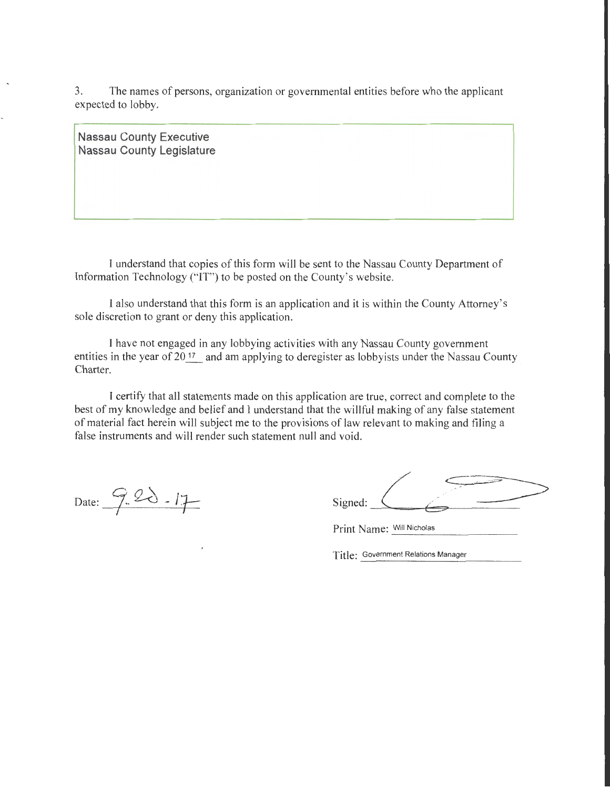3. The names of persons, organization or governmental entities before who the applicant expected to lobby.

**Nassau County Executive Nassau County Legislature** 

I understand that copies of this form will be sent to the Nassau County Department of Information Technology ("IT") to be posted on the County's website.

I also understand that this form is an application and it is within the County Attorney's sole discretion to grant or deny this application.

I have not engaged in any lobbying activities with any Nassau County government entities in the year of  $20^{17}$  and am applying to deregister as lobbyists under the Nassau County Charter.

I certify that all statements made on this application are true, correct and complete to the best of my knowledge and belief and I understand that the willful making of any false statement of material fact herein will subject me to the provisions of law relevant to making and filing a false instruments and will render such statement null and void.

Date: <u>9.20.17</u> S

| Signed: |  |  |
|---------|--|--|

Print Name: Will Nicholas

Title: Government Relations Manager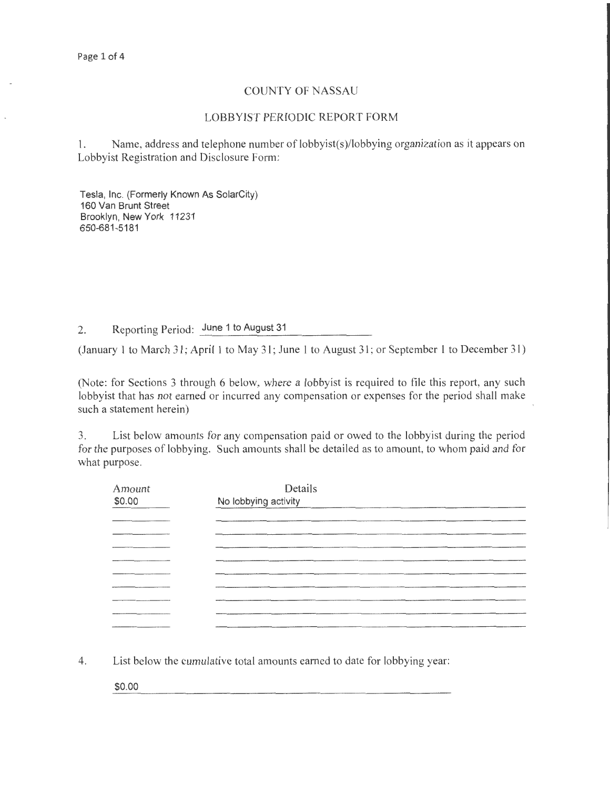## COUNTY OF NASSAU

## LOBBYIST PERIODIC REPORT FORM

1. Name, address and telephone number of lobbyist(s)/lobbying organization as it appears on Lobbyist Registration and Disclosure Form:

Tesla, Inc. (Formerly Known As SolarCity) 160 Van Brunt Street Brooklyn, New York 11231 650-681-5181

2. Reporting Period: June 1 to August 31

(January 1 to March 31; April 1 to May 31; June 1 to August 31 ; or September 1 to December 31)

(Note: for Sections 3 through 6 below, where a lobbyist is required to file this report, any such lobbyist that has not earned or incurred any compensation or expenses for the period shall make such a statement herein)

3. List below amounts for any compensation paid or owed to the lobbyist during the period for the purposes of lobbying. Such amounts shall be detailed as to amount, to whom paid and for what purpose.

| Amount<br>\$0.00 | Details<br>No lobbying activity<br><u> 1980 - Jan James Harry Harry Harry Harry Harry Harry Harry Harry Harry Harry Harry Harry Harry Harry Harry</u> |
|------------------|-------------------------------------------------------------------------------------------------------------------------------------------------------|
|                  |                                                                                                                                                       |
|                  |                                                                                                                                                       |
|                  |                                                                                                                                                       |
|                  |                                                                                                                                                       |
|                  |                                                                                                                                                       |
|                  |                                                                                                                                                       |
|                  |                                                                                                                                                       |
|                  |                                                                                                                                                       |
|                  |                                                                                                                                                       |
|                  |                                                                                                                                                       |

4. List below the cumulative total amounts earned to date for lobbying year:

\$0.00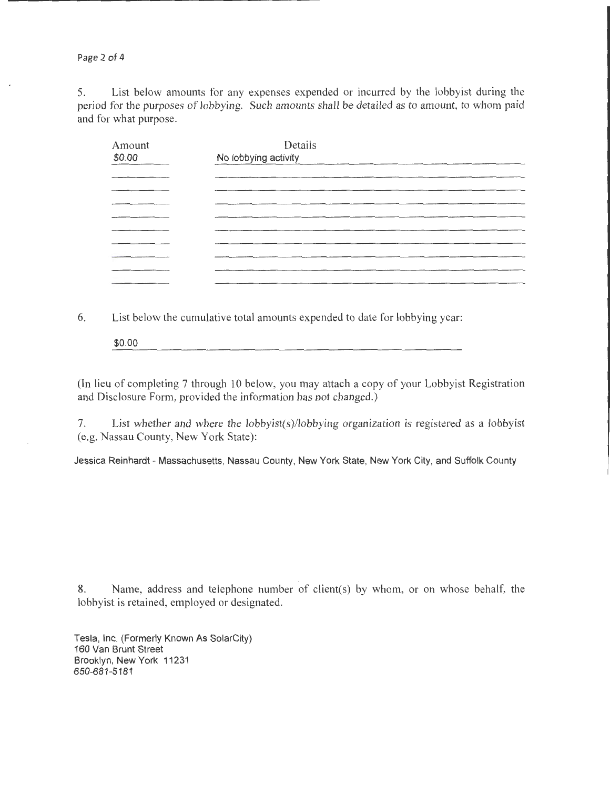Page 2 of 4

5. List below amounts for any expenses expended or incurred by the lobbyist during the period for the purposes of lobbying. Such amounts shall be detailed as to amount, to whom paid and for what purpose.

| Amount<br>\$0.00 | Details<br>No lobbying activity                                                                                 |  |  |
|------------------|-----------------------------------------------------------------------------------------------------------------|--|--|
|                  |                                                                                                                 |  |  |
|                  |                                                                                                                 |  |  |
|                  |                                                                                                                 |  |  |
|                  |                                                                                                                 |  |  |
|                  |                                                                                                                 |  |  |
|                  |                                                                                                                 |  |  |
|                  | the contract of the contract of the contract of the contract of the contract of the contract of the contract of |  |  |
|                  |                                                                                                                 |  |  |
|                  |                                                                                                                 |  |  |

6. List below the cumulative total amounts expended to date for lobbying year:

\$0.00

(In lieu of completing 7 through 10 below, you may attach a copy of your Lobbyist Registration and Disclosure Form, provided the information has not changed.)

7. List whether and where the lobbyist(s)/lobbying organization is registered as a lobbyist (e.g. Nassau County, New York State):

Jessica Reinhardt- Massachusetts, Nassau County, New York State, New York City, and Suffolk County

8. Name, address and telephone number of client(s) by whom, or on whose behalf, the lobbyist is retained, employed or designated.

Tesla, Inc. (Formerly Known As SolarCity) 160 Van Brunt Street Brooklyn, New York 11231 650-681-5181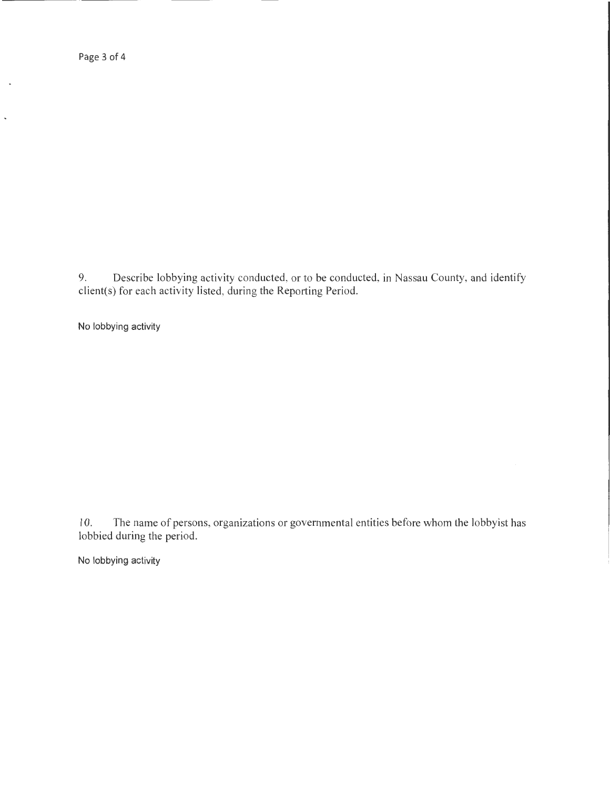Page 3 of 4

J.

 $\overline{a}$ 

9. Describe lobbying activity conducted, or to be conducted, in Nassau County, and identify client(s) for each activity listed, during the Reporting Period.

No lobbying activity

10. The name of persons, organizations or governmental entities before whom the lobbyist has lobbied during the period.

No lobbying activity